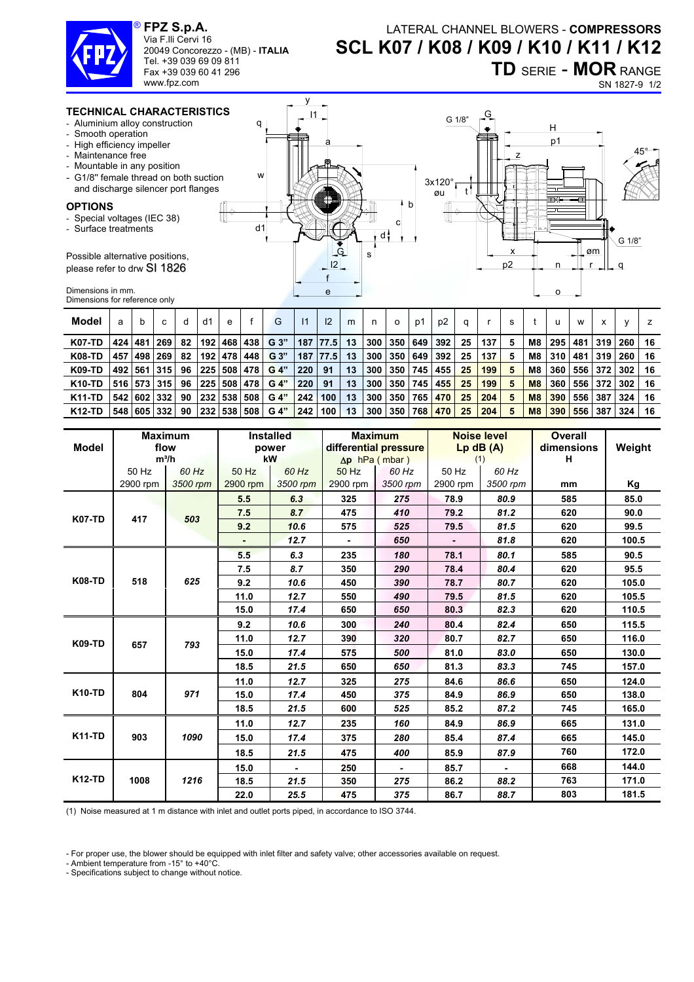

Via F.lli Cervi 16 20049 Concorezzo - (MB) - **ITALIA**

Tel. +39 039 69 09 811

#### Fax +39 039 60 41 296 www.fpz.com

# LATERAL CHANNEL BLOWERS - **COMPRESSORS SCL K07 / K08 / K09 / K10 / K11 / K12**

 $\overline{a}$ 

**TD** SERIE - **MOR** RANGE SN 1827-9 1/2

## **TECHNICAL CHARACTERISTICS**

- Aluminium alloy construction
- Smooth operation
- High efficiency impeller
- Maintenance free
- Mountable in any position
- G1/8" female thread on both su and discharge silencer port flan

### **OPTIONS**

- Special voltages (IEC 38)
- Surface treatments

Possible alternative positions, please refer to drw SI 1826

Dimensions in mm. Dimensions for reference only

| סטווי             | 11<br>q                                    | <u>G</u><br>G 1/8"<br>н                                                                                                                 |
|-------------------|--------------------------------------------|-----------------------------------------------------------------------------------------------------------------------------------------|
| ction<br>ges<br>f | a<br>W<br>d<br>с<br>d1<br>d<br>G<br>s<br>e | p1<br>$45^\circ$<br>Y2⊐l⊑<br>3x120°<br>øu<br>ᆍ<br>ᄅ<br>⊣וב<br>b<br>H<br>↸<br>لصط<br>G 1/8"<br>Løm<br>x<br>p <sub>2</sub><br>n<br>a<br>о |
|                   |                                            |                                                                                                                                         |

| Model         | a     | b         |             | d  | d1      | e         |                 | G               | $\vert$ 11  | 12     | m  | n   | $\circ$ | p1      | p2  |    |     | s |                |     | W     | x     |     |    |
|---------------|-------|-----------|-------------|----|---------|-----------|-----------------|-----------------|-------------|--------|----|-----|---------|---------|-----|----|-----|---|----------------|-----|-------|-------|-----|----|
| <b>K07-TD</b> |       | 424 481 1 | 269         | 82 |         |           |                 | 192 468 438 G3" | 187 77.5 13 |        |    |     | 300 350 | 649     | 392 | 25 | 137 | 5 | M8             | 295 | 481   | 319   | 260 | 16 |
| <b>K08-TD</b> | 457   | 498       | 269         | 82 |         |           | 192   478   448 | G <sub>3</sub>  | 187         | 177.51 | 13 | 300 | 350     | 649     | 392 | 25 | 137 | 5 | M8             | 310 | 481   | 319   | 260 | 16 |
| K09-TD        |       |           | 492 561 315 | 96 |         |           | 225 508 478     | G 4"            | 220         | 91     | 13 | 300 | 350     | 745     | 455 | 25 | 199 | 5 | M <sub>8</sub> | 360 | 556 I | l 372 | 302 | 16 |
| <b>K10-TD</b> |       |           | 516 573 315 | 96 |         |           | 225   508   478 | G 4"            | 220         | 91     | 13 | 300 |         | 350 745 | 455 | 25 | 199 | 5 | M <sub>8</sub> | 360 | 556   | 372   | 302 | 16 |
| <b>K11-TD</b> | 542 I | 602       | 332         | 90 |         | 232   538 | 508             | G 4"            | 242         | 100    | 13 | 300 | 350     | 765     | 470 | 25 | 204 | 5 | M8             | 390 | 556   | 387   | 324 | 16 |
| <b>K12-TD</b> | 548   | 605       | 332         | 90 | 232 538 |           | 508             | G 4"            | 242         | 100    | 13 | 300 | 350     | 768     | 470 | 25 | 204 | 5 | M8             | 390 | 556   | 387   | 324 | 16 |

y

|               |          | <b>Maximum</b> |          | <b>Installed</b> |          | <b>Maximum</b>        |                | <b>Noise level</b> | <b>Overall</b> |        |  |  |
|---------------|----------|----------------|----------|------------------|----------|-----------------------|----------------|--------------------|----------------|--------|--|--|
| <b>Model</b>  | flow     |                |          | power            |          | differential pressure |                | $Lp$ dB $(A)$      | dimensions     | Weight |  |  |
|               | $m^3/h$  |                |          | <b>kW</b>        |          | $\Delta p$ hPa (mbar) | (1)            |                    | н              |        |  |  |
|               | 50 Hz    | 60 Hz          | 50 Hz    | 60 Hz            | 50 Hz    | 60 Hz                 | 50 Hz          | 60 Hz              |                |        |  |  |
|               | 2900 rpm | 3500 rpm       | 2900 rpm | 3500 rpm         | 2900 rpm | 3500 rpm              | 2900 rpm       | 3500 rpm           | mm             | Κg     |  |  |
| <b>K07-TD</b> |          |                | 5.5      | 6.3              | 325      | 275                   | 78.9           | 80.9               | 585            | 85.0   |  |  |
|               | 417      | 503            | 7.5      | 8.7              | 475      | 410                   | 79.2           | 81.2               | 620            | 90.0   |  |  |
|               |          |                | 9.2      | 10.6             | 575      | 525                   | 79.5           | 81.5               | 620            | 99.5   |  |  |
|               |          |                | $\sim$   | 12.7             | $\sim$   | 650                   | $\blacksquare$ | 81.8               | 620            | 100.5  |  |  |
| <b>K08-TD</b> |          |                | 5.5      | 6.3              | 235      | 180                   | 78.1           | 80.1               | 585            | 90.5   |  |  |
|               | 518      | 625            | 7.5      | 8.7              | 350      | 290                   | 78.4           | 80.4               | 620            | 95.5   |  |  |
|               |          |                | 9.2      | 10.6             | 450      | 390                   | 78.7           | 80.7               | 620            | 105.0  |  |  |
|               |          |                | 11.0     | 12.7             | 550      | 490                   | 79.5           | 81.5               | 620            | 105.5  |  |  |
|               |          |                | 15.0     | 17.4             | 650      | 650                   | 80.3           | 82.3               | 620            | 110.5  |  |  |
| <b>K09-TD</b> | 657      | 793            | 9.2      | 10.6             | 300      | 240                   | 80.4           | 82.4               | 650            | 115.5  |  |  |
|               |          |                | 11.0     | 12.7             | 390      | 320                   | 80.7           | 82.7               | 650            | 116.0  |  |  |
|               |          |                | 15.0     | 17.4             | 575      | 500                   | 81.0           | 83.0               | 650            | 130.0  |  |  |
|               |          |                | 18.5     | 21.5             | 650      | 650                   | 81.3           | 83.3               | 745            | 157.0  |  |  |
|               |          |                | 11.0     | 12.7             | 325      | 275                   | 84.6           | 86.6               | 650            | 124.0  |  |  |
| <b>K10-TD</b> | 804      | 971            | 15.0     | 17.4             | 450      | 375                   | 84.9           | 86.9               | 650            | 138.0  |  |  |
|               |          |                | 18.5     | 21.5             | 600      | 525                   | 85.2           | 87.2               | 745            | 165.0  |  |  |
| <b>K11-TD</b> | 903      |                | 11.0     | 12.7             | 235      | 160                   | 84.9           | 86.9               | 665            | 131.0  |  |  |
|               |          | 1090           | 15.0     | 17.4             | 375      | 280                   | 85.4           | 87.4               | 665            | 145.0  |  |  |
|               |          |                | 18.5     | 21.5             | 475      | 400                   | 85.9           | 87.9               | 760            | 172.0  |  |  |
| <b>K12-TD</b> |          | 1216           | 15.0     | $\blacksquare$   | 250      | $\blacksquare$        | 85.7           | $\blacksquare$     | 668            | 144.0  |  |  |
|               | 1008     |                | 18.5     | 21.5             | 350      | 275                   | 86.2           | 88.2               | 763            | 171.0  |  |  |
|               |          |                | 22.0     | 25.5             | 475      | 375                   | 86.7           | 88.7               | 803            | 181.5  |  |  |

(1) Noise measured at 1 m distance with inlet and outlet ports piped, in accordance to ISO 3744.

- For proper use, the blower should be equipped with inlet filter and safety valve; other accessories available on request.

- Ambient temperature from -15° to +40°C.

- Specifications subject to change without notice.